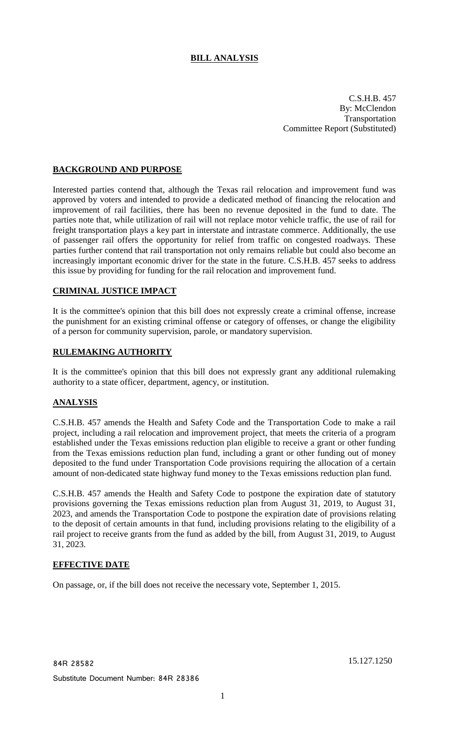# **BILL ANALYSIS**

C.S.H.B. 457 By: McClendon Transportation Committee Report (Substituted)

## **BACKGROUND AND PURPOSE**

Interested parties contend that, although the Texas rail relocation and improvement fund was approved by voters and intended to provide a dedicated method of financing the relocation and improvement of rail facilities, there has been no revenue deposited in the fund to date. The parties note that, while utilization of rail will not replace motor vehicle traffic, the use of rail for freight transportation plays a key part in interstate and intrastate commerce. Additionally, the use of passenger rail offers the opportunity for relief from traffic on congested roadways. These parties further contend that rail transportation not only remains reliable but could also become an increasingly important economic driver for the state in the future. C.S.H.B. 457 seeks to address this issue by providing for funding for the rail relocation and improvement fund.

## **CRIMINAL JUSTICE IMPACT**

It is the committee's opinion that this bill does not expressly create a criminal offense, increase the punishment for an existing criminal offense or category of offenses, or change the eligibility of a person for community supervision, parole, or mandatory supervision.

## **RULEMAKING AUTHORITY**

It is the committee's opinion that this bill does not expressly grant any additional rulemaking authority to a state officer, department, agency, or institution.

# **ANALYSIS**

C.S.H.B. 457 amends the Health and Safety Code and the Transportation Code to make a rail project, including a rail relocation and improvement project, that meets the criteria of a program established under the Texas emissions reduction plan eligible to receive a grant or other funding from the Texas emissions reduction plan fund, including a grant or other funding out of money deposited to the fund under Transportation Code provisions requiring the allocation of a certain amount of non-dedicated state highway fund money to the Texas emissions reduction plan fund.

C.S.H.B. 457 amends the Health and Safety Code to postpone the expiration date of statutory provisions governing the Texas emissions reduction plan from August 31, 2019, to August 31, 2023, and amends the Transportation Code to postpone the expiration date of provisions relating to the deposit of certain amounts in that fund, including provisions relating to the eligibility of a rail project to receive grants from the fund as added by the bill, from August 31, 2019, to August 31, 2023.

## **EFFECTIVE DATE**

On passage, or, if the bill does not receive the necessary vote, September 1, 2015.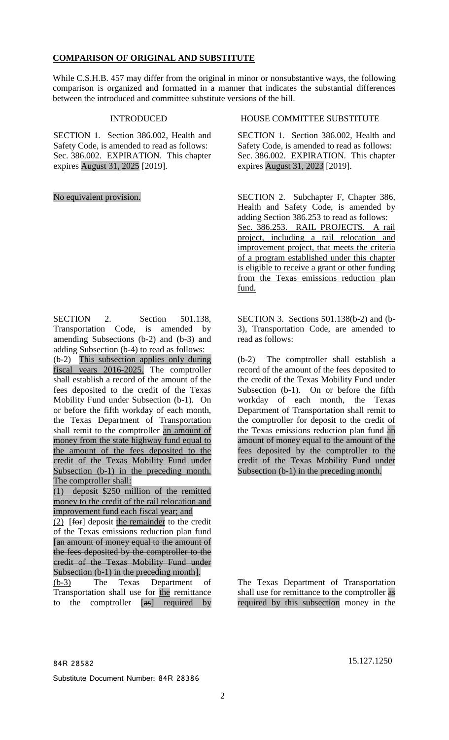### **COMPARISON OF ORIGINAL AND SUBSTITUTE**

While C.S.H.B. 457 may differ from the original in minor or nonsubstantive ways, the following comparison is organized and formatted in a manner that indicates the substantial differences between the introduced and committee substitute versions of the bill.

SECTION 1. Section 386.002, Health and Safety Code, is amended to read as follows: Sec. 386.002. EXPIRATION. This chapter expires August 31, 2025 [2019].

SECTION 2. Section 501.138, Transportation Code, is amended by amending Subsections (b-2) and (b-3) and adding Subsection (b-4) to read as follows: (b-2) This subsection applies only during fiscal years 2016-2025. The comptroller shall establish a record of the amount of the fees deposited to the credit of the Texas Mobility Fund under Subsection (b-1). On or before the fifth workday of each month, the Texas Department of Transportation shall remit to the comptroller an amount of money from the state highway fund equal to the amount of the fees deposited to the credit of the Texas Mobility Fund under Subsection (b-1) in the preceding month. The comptroller shall:

(1) deposit \$250 million of the remitted money to the credit of the rail relocation and improvement fund each fiscal year; and

 $(2)$  [for] deposit the remainder to the credit of the Texas emissions reduction plan fund [an amount of money equal to the amount of the fees deposited by the comptroller to the credit of the Texas Mobility Fund under Subsection (b-1) in the preceding month].

(b-3) The Texas Department of Transportation shall use for the remittance to the comptroller [as] required by

INTRODUCED HOUSE COMMITTEE SUBSTITUTE

SECTION 1. Section 386.002, Health and Safety Code, is amended to read as follows: Sec. 386.002. EXPIRATION. This chapter expires August 31, 2023 [2019].

No equivalent provision. SECTION 2. Subchapter F, Chapter 386, Health and Safety Code, is amended by adding Section 386.253 to read as follows: Sec. 386.253. RAIL PROJECTS. A rail project, including a rail relocation and improvement project, that meets the criteria of a program established under this chapter is eligible to receive a grant or other funding from the Texas emissions reduction plan fund.

> SECTION 3. Sections 501.138(b-2) and (b-3), Transportation Code, are amended to read as follows:

> (b-2) The comptroller shall establish a record of the amount of the fees deposited to the credit of the Texas Mobility Fund under Subsection (b-1). On or before the fifth workday of each month, the Texas Department of Transportation shall remit to the comptroller for deposit to the credit of the Texas emissions reduction plan fund an amount of money equal to the amount of the fees deposited by the comptroller to the credit of the Texas Mobility Fund under Subsection (b-1) in the preceding month.

The Texas Department of Transportation shall use for remittance to the comptroller as required by this subsection money in the

Substitute Document Number: 84R 28386

84R 28582 15.127.1250